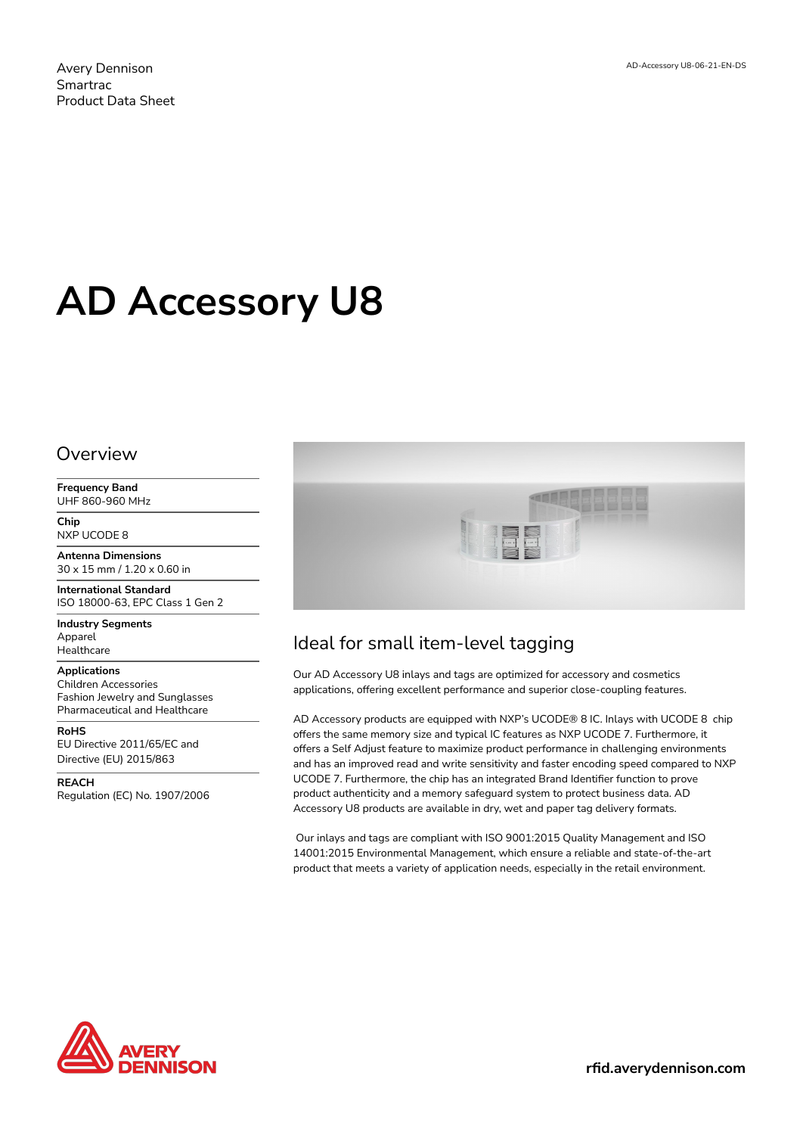Avery Dennison Smartrac Product Data Sheet

# **AD Accessory U8**

### Overview

**Frequency Band** UHF 860-960 MHz

**Chip** NXP UCODE 8

**Antenna Dimensions** 30 x 15 mm / 1.20 x 0.60 in

**International Standard** ISO 18000-63, EPC Class 1 Gen 2

**Industry Segments** Apparel Healthcare

#### **Applications**

Children Accessories Fashion Jewelry and Sunglasses Pharmaceutical and Healthcare

**RoHS** EU Directive 2011/65/EC and Directive (EU) 2015/863

**REACH**

Regulation (EC) No. 1907/2006



# Ideal for small item-level tagging

Our AD Accessory U8 inlays and tags are optimized for accessory and cosmetics applications, offering excellent performance and superior close-coupling features.

AD Accessory products are equipped with NXP's UCODE® 8 IC. Inlays with UCODE 8 chip offers the same memory size and typical IC features as NXP UCODE 7. Furthermore, it offers a Self Adjust feature to maximize product performance in challenging environments and has an improved read and write sensitivity and faster encoding speed compared to NXP UCODE 7. Furthermore, the chip has an integrated Brand Identifier function to prove product authenticity and a memory safeguard system to protect business data. AD Accessory U8 products are available in dry, wet and paper tag delivery formats.

 Our inlays and tags are compliant with ISO 9001:2015 Quality Management and ISO 14001:2015 Environmental Management, which ensure a reliable and state-of-the-art product that meets a variety of application needs, especially in the retail environment.